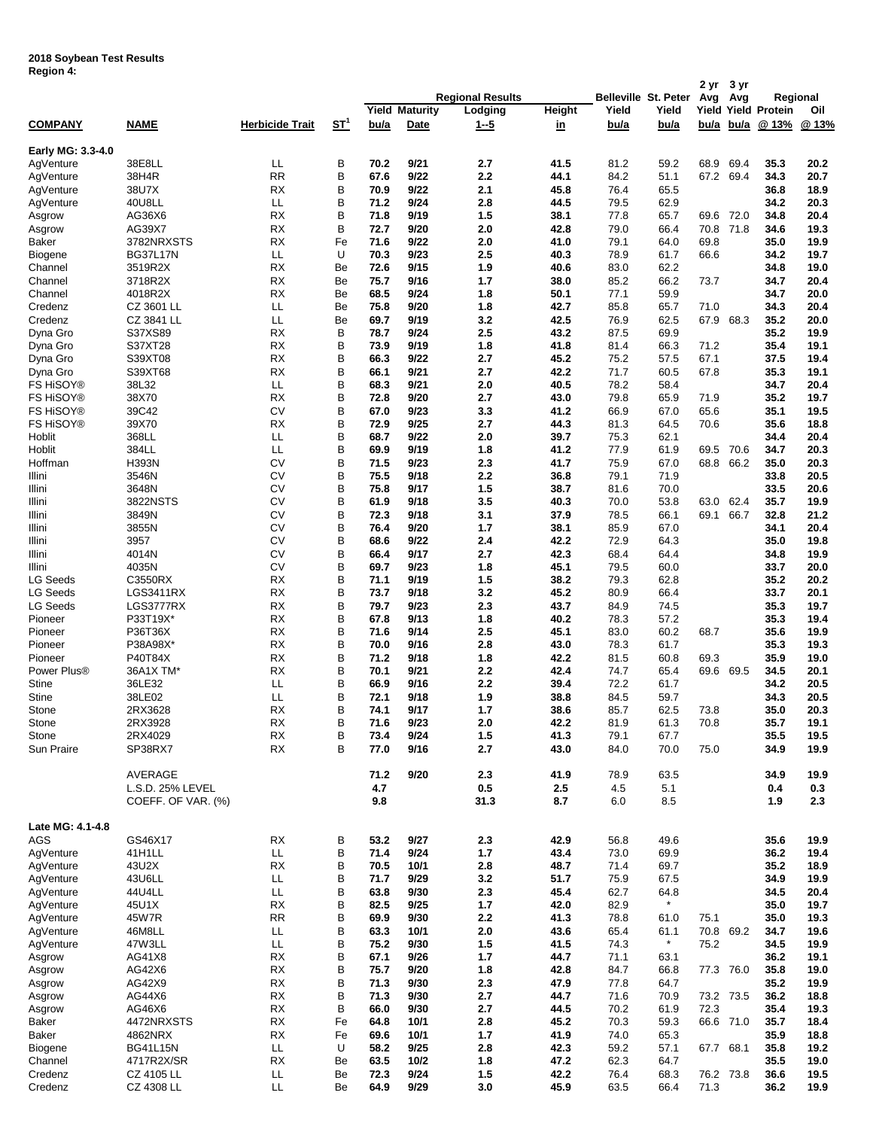## **2018 Soybean Test Results Region 4:**

| ד ווטופטוו.             |                                    |                        |                           |              |                       |                         |               |              |                      | 2 yr         | 3 yr         |                            |              |
|-------------------------|------------------------------------|------------------------|---------------------------|--------------|-----------------------|-------------------------|---------------|--------------|----------------------|--------------|--------------|----------------------------|--------------|
|                         |                                    |                        |                           |              |                       | <b>Regional Results</b> |               |              | Belleville St. Peter | Avg          | Avg          |                            | Regional     |
|                         |                                    |                        |                           |              | <b>Yield Maturity</b> | Lodging                 | <b>Height</b> | Yield        | Yield                |              |              | <b>Yield Yield Protein</b> | Oil          |
| <b>COMPANY</b>          | <b>NAME</b>                        | <b>Herbicide Trait</b> | $S_{\text{L}}^{\text{L}}$ | <u>bu/a</u>  | <b>Date</b>           | <u>1--5</u>             | <u>in</u>     | <u>bu/a</u>  | <u>bu/a</u>          | b <u>u/a</u> | <u>bu/a</u>  | @13%                       | @ 13%        |
|                         |                                    |                        |                           |              |                       |                         |               |              |                      |              |              |                            |              |
| Early MG: 3.3-4.0       |                                    |                        |                           |              |                       |                         |               |              |                      |              |              |                            |              |
| AgVenture               | 38E8LL<br>38H4R                    | LL<br><b>RR</b>        | В<br>В                    | 70.2<br>67.6 | 9/21<br>9/22          | 2.7<br>2.2              | 41.5<br>44.1  | 81.2<br>84.2 | 59.2<br>51.1         | 68.9<br>67.2 | 69.4<br>69.4 | 35.3<br>34.3               | 20.2<br>20.7 |
| AgVenture<br>AgVenture  | 38U7X                              | RX                     | В                         | 70.9         | 9/22                  | 2.1                     | 45.8          | 76.4         | 65.5                 |              |              | 36.8                       | 18.9         |
| AgVenture               | 40U8LL                             | LL                     | В                         | 71.2         | 9/24                  | 2.8                     | 44.5          | 79.5         | 62.9                 |              |              | 34.2                       | 20.3         |
| Asgrow                  | AG36X6                             | <b>RX</b>              | В                         | 71.8         | 9/19                  | 1.5                     | 38.1          | 77.8         | 65.7                 | 69.6         | 72.0         | 34.8                       | 20.4         |
| Asgrow                  | AG39X7                             | <b>RX</b>              | В                         | 72.7         | 9/20                  | 2.0                     | 42.8          | 79.0         | 66.4                 | 70.8         | 71.8         | 34.6                       | 19.3         |
| Baker                   | 3782NRXSTS                         | RX                     | Fe                        | 71.6         | 9/22                  | 2.0                     | 41.0          | 79.1         | 64.0                 | 69.8         |              | 35.0                       | 19.9         |
| Biogene                 | <b>BG37L17N</b>                    | LL                     | U                         | 70.3         | 9/23                  | 2.5                     | 40.3          | 78.9         | 61.7                 | 66.6         |              | 34.2                       | 19.7         |
| Channel                 | 3519R2X                            | RX                     | Be                        | 72.6         | 9/15                  | 1.9                     | 40.6          | 83.0         | 62.2                 |              |              | 34.8                       | 19.0         |
| Channel                 | 3718R2X                            | RX                     | Be                        | 75.7         | 9/16                  | 1.7                     | 38.0          | 85.2         | 66.2                 | 73.7         |              | 34.7                       | 20.4         |
| Channel                 | 4018R2X                            | RX                     | Be                        | 68.5         | 9/24                  | 1.8                     | 50.1          | 77.1         | 59.9                 |              |              | 34.7                       | 20.0         |
| Credenz                 | CZ 3601 LL                         | LL                     | Be                        | 75.8         | 9/20                  | 1.8                     | 42.7          | 85.8         | 65.7                 | 71.0         |              | 34.3                       | 20.4         |
| Credenz                 | CZ 3841 LL                         | LL                     | Be                        | 69.7         | 9/19                  | 3.2                     | 42.5          | 76.9         | 62.5                 | 67.9         | 68.3         | 35.2                       | 20.0         |
| Dyna Gro                | S37XS89                            | RX                     | В                         | 78.7         | 9/24                  | 2.5                     | 43.2          | 87.5         | 69.9                 |              |              | 35.2                       | 19.9         |
| Dyna Gro                | S37XT28                            | RX                     | B                         | 73.9         | 9/19                  | 1.8                     | 41.8          | 81.4         | 66.3                 | 71.2         |              | 35.4                       | 19.1         |
| Dyna Gro                | S39XT08                            | RX                     | B                         | 66.3         | 9/22                  | 2.7                     | 45.2          | 75.2         | 57.5                 | 67.1         |              | 37.5                       | 19.4         |
| Dyna Gro                | S39XT68                            | <b>RX</b>              | B                         | 66.1         | 9/21                  | 2.7                     | 42.2          | 71.7         | 60.5                 | 67.8         |              | 35.3                       | 19.1         |
| FS HiSOY®               | 38L32                              | LL                     | B                         | 68.3         | 9/21                  | 2.0                     | 40.5          | 78.2         | 58.4                 |              |              | 34.7                       | 20.4         |
| <b>FS HISOY®</b>        | 38X70                              | <b>RX</b>              | B                         | 72.8         | 9/20                  | 2.7                     | 43.0          | 79.8         | 65.9                 | 71.9         |              | 35.2                       | 19.7         |
| <b>FS HISOY®</b>        | 39C42                              | CV                     | B                         | 67.0         | 9/23                  | 3.3                     | 41.2          | 66.9         | 67.0                 | 65.6         |              | 35.1                       | 19.5         |
| FS HiSOY®               | 39X70                              | RX                     | B                         | 72.9         | 9/25                  | 2.7                     | 44.3          | 81.3         | 64.5                 | 70.6         |              | 35.6                       | 18.8         |
| Hoblit                  | 368LL                              | LL                     | B                         | 68.7         | 9/22                  | 2.0                     | 39.7          | 75.3         | 62.1                 |              |              | 34.4                       | 20.4         |
| Hoblit                  | 384LL                              | LL                     | B                         | 69.9         | 9/19                  | 1.8                     | 41.2          | 77.9         | 61.9                 | 69.5         | 70.6         | 34.7                       | 20.3         |
| Hoffman                 | <b>H393N</b>                       | CV                     | B                         | 71.5         | 9/23                  | 2.3                     | 41.7          | 75.9         | 67.0                 | 68.8         | 66.2         | 35.0                       | 20.3         |
| Illini                  | 3546N                              | CV                     | B                         | 75.5         | 9/18                  | 2.2                     | 36.8          | 79.1         | 71.9                 |              |              | 33.8                       | 20.5         |
| Illini                  | 3648N                              | CV                     | В                         | 75.8         | 9/17                  | 1.5                     | 38.7          | 81.6         | 70.0                 |              |              | 33.5                       | 20.6         |
| Illini<br>Illini        | 3822NSTS<br>3849N                  | CV<br>CV               | B<br>B                    | 61.9<br>72.3 | 9/18<br>9/18          | 3.5<br>3.1              | 40.3<br>37.9  | 70.0<br>78.5 | 53.8<br>66.1         | 63.0<br>69.1 | 62.4<br>66.7 | 35.7<br>32.8               | 19.9<br>21.2 |
| Illini                  | 3855N                              | CV                     | B                         | 76.4         | 9/20                  | 1.7                     | 38.1          | 85.9         | 67.0                 |              |              | 34.1                       | 20.4         |
| Illini                  | 3957                               | CV                     | B                         | 68.6         | 9/22                  | 2.4                     | 42.2          | 72.9         | 64.3                 |              |              | 35.0                       | 19.8         |
| Illini                  | 4014N                              | CV                     | B                         | 66.4         | 9/17                  | 2.7                     | 42.3          | 68.4         | 64.4                 |              |              | 34.8                       | 19.9         |
| Illini                  | 4035N                              | CV                     | B                         | 69.7         | 9/23                  | 1.8                     | 45.1          | 79.5         | 60.0                 |              |              | 33.7                       | 20.0         |
| <b>LG Seeds</b>         | C3550RX                            | RX                     | B                         | 71.1         | 9/19                  | 1.5                     | 38.2          | 79.3         | 62.8                 |              |              | 35.2                       | 20.2         |
| <b>LG Seeds</b>         | LGS3411RX                          | RX                     | B                         | 73.7         | 9/18                  | 3.2                     | 45.2          | 80.9         | 66.4                 |              |              | 33.7                       | 20.1         |
| <b>LG Seeds</b>         | LGS3777RX                          | RX                     | B                         | 79.7         | 9/23                  | 2.3                     | 43.7          | 84.9         | 74.5                 |              |              | 35.3                       | 19.7         |
| Pioneer                 | P33T19X*                           | RX                     | B                         | 67.8         | 9/13                  | 1.8                     | 40.2          | 78.3         | 57.2                 |              |              | 35.3                       | 19.4         |
| Pioneer                 | P36T36X                            | RX                     | B                         | 71.6         | 9/14                  | 2.5                     | 45.1          | 83.0         | 60.2                 | 68.7         |              | 35.6                       | 19.9         |
| Pioneer                 | P38A98X*                           | RX                     | B                         | 70.0         | 9/16                  | 2.8                     | 43.0          | 78.3         | 61.7                 |              |              | 35.3                       | 19.3         |
| Pioneer                 | P40T84X                            | RX                     | B                         | 71.2         | 9/18                  | 1.8                     | 42.2          | 81.5         | 60.8                 | 69.3         |              | 35.9                       | 19.0         |
| Power Plus <sup>®</sup> | 36A1X TM*                          | RX                     | B                         | 70.1         | 9/21                  | 2.2                     | 42.4          | 74.7         | 65.4                 | 69.6         | 69.5         | 34.5                       | 20.1         |
| <b>Stine</b>            | 36LE32                             | LL                     | B                         | 66.9         | 9/16                  | 2.2                     | 39.4          | 72.2         | 61.7                 |              |              | 34.2                       | 20.5         |
| <b>Stine</b>            | 38LE02                             | LL                     | B                         | 72.1         | 9/18                  | 1.9                     | 38.8          | 84.5         | 59.7                 |              |              | 34.3                       | 20.5         |
| Stone                   | 2RX3628                            | <b>RX</b>              | B                         | 74.1         | 9/17                  | 1.7                     | 38.6          | 85.7         | 62.5                 | 73.8         |              | 35.0                       | 20.3         |
| Stone                   | 2RX3928                            | <b>RX</b>              | B                         | 71.6         | 9/23                  | 2.0                     | 42.2          | 81.9         | 61.3                 | 70.8         |              | 35.7                       | 19.1         |
| Stone                   | 2RX4029                            | <b>RX</b>              | B                         | 73.4         | 9/24                  | 1.5                     | 41.3          | 79.1         | 67.7                 |              |              | 35.5                       | 19.5         |
| Sun Praire              | SP38RX7                            | <b>RX</b>              | B                         | 77.0         | 9/16                  | 2.7                     | 43.0          | 84.0         | 70.0                 | 75.0         |              | 34.9                       | 19.9         |
|                         |                                    |                        |                           |              |                       |                         |               |              |                      |              |              |                            |              |
|                         | <b>AVERAGE</b><br>L.S.D. 25% LEVEL |                        |                           | 71.2<br>4.7  | 9/20                  | 2.3<br>0.5              | 41.9<br>2.5   | 78.9         | 63.5<br>5.1          |              |              | 34.9<br>0.4                | 19.9<br>0.3  |
|                         | COEFF. OF VAR. (%)                 |                        |                           | 9.8          |                       | 31.3                    | 8.7           | 4.5<br>6.0   | 8.5                  |              |              | 1.9                        | 2.3          |
|                         |                                    |                        |                           |              |                       |                         |               |              |                      |              |              |                            |              |
| Late MG: 4.1-4.8        |                                    |                        |                           |              |                       |                         |               |              |                      |              |              |                            |              |
| AGS                     | GS46X17                            | <b>RX</b>              | В                         | 53.2         | 9/27                  | 2.3                     | 42.9          | 56.8         | 49.6                 |              |              | 35.6                       | 19.9         |
| AgVenture               | 41H1LL                             | LL                     | В                         | 71.4         | 9/24                  | 1.7                     | 43.4          | 73.0         | 69.9                 |              |              | 36.2                       | 19.4         |
| AgVenture               | 43U2X                              | <b>RX</b>              | В                         | 70.5         | 10/1                  | 2.8                     | 48.7          | 71.4         | 69.7                 |              |              | 35.2                       | 18.9         |
| AgVenture               | 43U6LL                             | LL.                    | В                         | 71.7         | 9/29                  | 3.2                     | 51.7          | 75.9         | 67.5                 |              |              | 34.9                       | 19.9         |
| AgVenture               | 44U4LL                             | LL                     | В                         | 63.8         | 9/30                  | 2.3                     | 45.4          | 62.7         | 64.8                 |              |              | 34.5                       | 20.4         |
| AgVenture               | 45U1X                              | <b>RX</b>              | В                         | 82.5         | 9/25                  | 1.7                     | 42.0          | 82.9         | $\star$              |              |              | 35.0                       | 19.7         |
| AgVenture               | 45W7R                              | <b>RR</b>              | B                         | 69.9         | 9/30                  | 2.2                     | 41.3          | 78.8         | 61.0                 | 75.1         |              | 35.0                       | 19.3         |
| AgVenture               | 46M8LL                             | LL.                    | В                         | 63.3         | 10/1                  | 2.0                     | 43.6          | 65.4         | 61.1                 | 70.8         | 69.2         | 34.7                       | 19.6         |
| AgVenture               | 47W3LL                             | LL.                    | В                         | 75.2         | 9/30                  | 1.5                     | 41.5          | 74.3         | $\star$              | 75.2         |              | 34.5                       | 19.9         |
| Asgrow                  | AG41X8                             | RX                     | В                         | 67.1         | 9/26                  | 1.7                     | 44.7          | 71.1         | 63.1                 |              |              | 36.2                       | 19.1         |
| Asgrow                  | AG42X6                             | <b>RX</b>              | B                         | 75.7         | 9/20                  | 1.8                     | 42.8          | 84.7         | 66.8                 | 77.3         | 76.0         | 35.8                       | 19.0         |
| Asgrow                  | AG42X9                             | RX                     | B                         | 71.3         | 9/30                  | 2.3                     | 47.9          | 77.8         | 64.7                 |              |              | 35.2                       | 19.9         |
| Asgrow                  | AG44X6                             | RX                     | В                         | 71.3         | 9/30                  | 2.7                     | 44.7          | 71.6         | 70.9                 | 73.2 73.5    |              | 36.2                       | 18.8         |
| Asgrow                  | AG46X6                             | <b>RX</b>              | B                         | 66.0         | 9/30                  | 2.7                     | 44.5          | 70.2         | 61.9                 | 72.3         |              | 35.4                       | 19.3         |
| Baker                   | 4472NRXSTS                         | <b>RX</b>              | Fe                        | 64.8         | 10/1                  | 2.8                     | 45.2          | 70.3         | 59.3                 |              | 66.6 71.0    | 35.7                       | 18.4         |
| Baker                   | 4862NRX                            | <b>RX</b>              | Fe                        | 69.6         | 10/1                  | 1.7                     | 41.9          | 74.0         | 65.3                 |              |              | 35.9                       | 18.8         |
| Biogene                 | <b>BG41L15N</b>                    | LL.<br><b>RX</b>       | U                         | 58.2         | 9/25                  | 2.8                     | 42.3          | 59.2         | 57.1                 | 67.7 68.1    |              | 35.8                       | 19.2         |
| Channel<br>Credenz      | 4717R2X/SR<br>CZ 4105 LL           | LL.                    | Be<br>Be                  | 63.5<br>72.3 | 10/2<br>9/24          | 1.8<br>1.5              | 47.2<br>42.2  | 62.3<br>76.4 | 64.7<br>68.3         |              | 76.2 73.8    | 35.5<br>36.6               | 19.0<br>19.5 |
| Credenz                 | CZ 4308 LL                         | LL.                    | Be                        | 64.9         | 9/29                  | 3.0                     | 45.9          | 63.5         | 66.4                 | 71.3         |              | 36.2                       | 19.9         |
|                         |                                    |                        |                           |              |                       |                         |               |              |                      |              |              |                            |              |